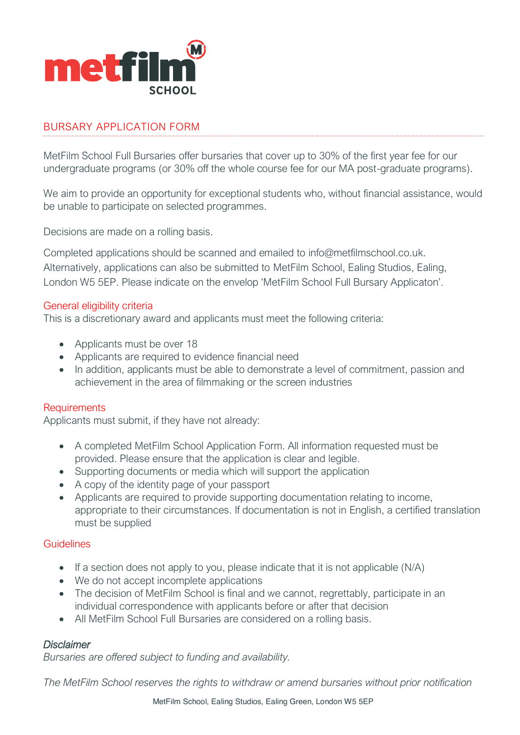

## BURSARY APPLICATION FORM

MetFilm School Full Bursaries offer bursaries that cover up to 30% of the first year fee for our undergraduate programs (or 30% off the whole course fee for our MA post-graduate programs).

We aim to provide an opportunity for exceptional students who, without financial assistance, would be unable to participate on selected programmes.

Decisions are made on a rolling basis.

Completed applications should be scanned and emailed to info@metfilmschool.co.uk. Alternatively, applications can also be submitted to MetFilm School, Ealing Studios, Ealing, London W5 5EP. Please indicate on the envelop 'MetFilm School Full Bursary Applicaton'.

#### General eligibility criteria

This is a discretionary award and applicants must meet the following criteria:

- Applicants must be over 18
- Applicants are required to evidence financial need
- In addition, applicants must be able to demonstrate a level of commitment, passion and achievement in the area of filmmaking or the screen industries

#### **Requirements**

Applicants must submit, if they have not already:

- A completed MetFilm School Application Form. All information requested must be provided. Please ensure that the application is clear and legible.
- Supporting documents or media which will support the application
- A copy of the identity page of your passport
- Applicants are required to provide supporting documentation relating to income, appropriate to their circumstances. If documentation is not in English, a certified translation must be supplied

### **Guidelines**

- If a section does not apply to you, please indicate that it is not applicable (N/A)
- We do not accept incomplete applications
- The decision of MetFilm School is final and we cannot, regrettably, participate in an individual correspondence with applicants before or after that decision
- All MetFilm School Full Bursaries are considered on a rolling basis.

#### *Disclaimer*

*Bursaries are offered subject to funding and availability.*

*The MetFilm School reserves the rights to withdraw or amend bursaries without prior notification*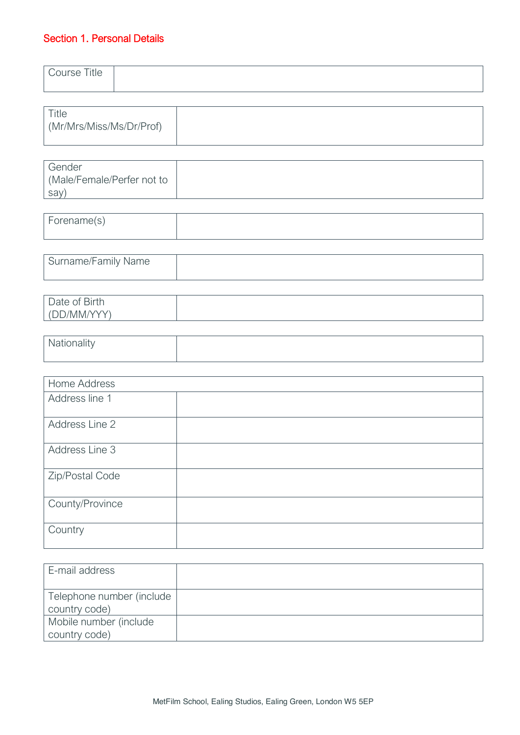# Section 1. Personal Details

| Course Title                             |  |
|------------------------------------------|--|
| <b>Title</b><br>(Mr/Mrs/Miss/Ms/Dr/Prof) |  |

| Gender                    |  |
|---------------------------|--|
| Male/Female/Perfer not to |  |
| say)                      |  |

| Forename(s) |  |
|-------------|--|
|             |  |

| Surname/Family Name |  |
|---------------------|--|
|                     |  |

| <b>Birth</b><br>$\overline{\phantom{0}}$<br>Daw<br>$\sim$ |  |
|-----------------------------------------------------------|--|
| $A \wedge B$<br>/ 1 / 1 1 / 1 /<br>v v<br>احاجا           |  |

| , valioriality |  |
|----------------|--|
|                |  |

| Home Address    |  |
|-----------------|--|
| Address line 1  |  |
| Address Line 2  |  |
| Address Line 3  |  |
| Zip/Postal Code |  |
| County/Province |  |
| Country         |  |

| E-mail address                             |  |
|--------------------------------------------|--|
| Telephone number (include<br>country code) |  |
| Mobile number (include<br>country code)    |  |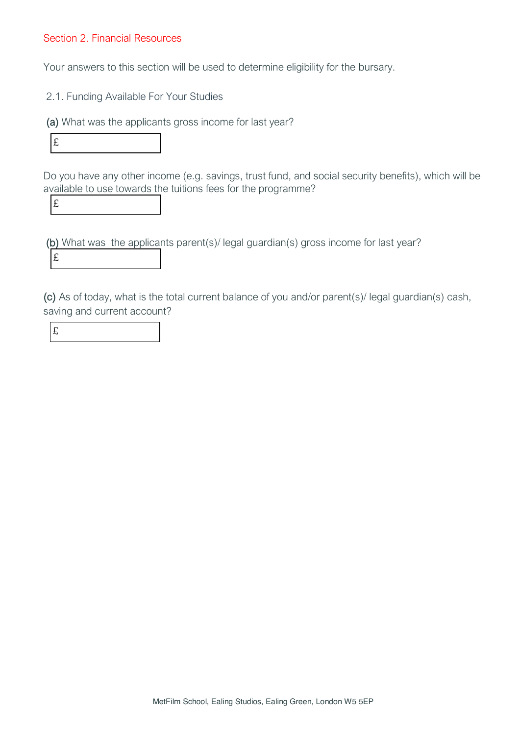### Section 2. Financial Resources

Your answers to this section will be used to determine eligibility for the bursary.

2.1. Funding Available For Your Studies

(a) What was the applicants gross income for last year?



Do you have any other income (e.g. savings, trust fund, and social security benefits), which will be available to use towards the tuitions fees for the programme?

£

 (b) What was the applicants parent(s)/ legal guardian(s) gross income for last year? £

(c) As of today, what is the total current balance of you and/or parent(s)/ legal guardian(s) cash, saving and current account?

|        | . . |     |  |
|--------|-----|-----|--|
| . .    |     | 전 사 |  |
| ۰<br>. |     |     |  |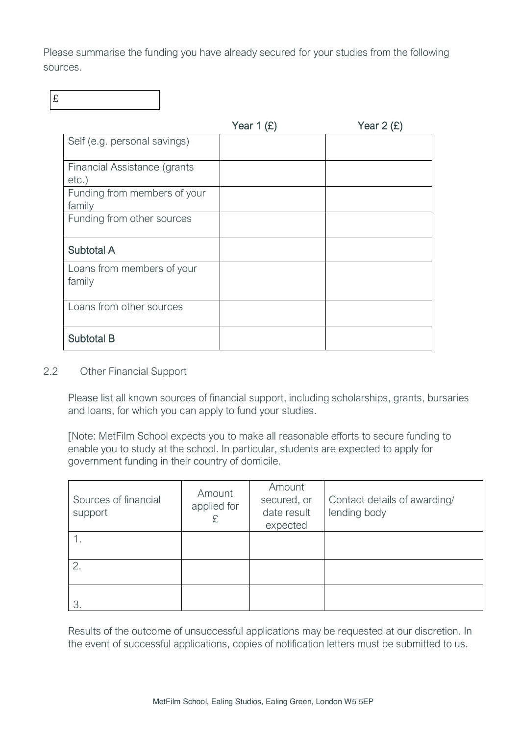Please summarise the funding you have already secured for your studies from the following sources.

£

|                                          | Year $1(E)$ | Year $2(f)$ |
|------------------------------------------|-------------|-------------|
| Self (e.g. personal savings)             |             |             |
| Financial Assistance (grants<br>$etc.$ ) |             |             |
| Funding from members of your<br>family   |             |             |
| Funding from other sources               |             |             |
| <b>Subtotal A</b>                        |             |             |
| Loans from members of your<br>family     |             |             |
| Loans from other sources                 |             |             |
| <b>Subtotal B</b>                        |             |             |

### 2.2 Other Financial Support

Please list all known sources of financial support, including scholarships, grants, bursaries and loans, for which you can apply to fund your studies.

[Note: MetFilm School expects you to make all reasonable efforts to secure funding to enable you to study at the school. In particular, students are expected to apply for government funding in their country of domicile.

| Sources of financial<br>support | Amount<br>applied for | Amount<br>secured, or<br>date result<br>expected | Contact details of awarding/<br>lending body |
|---------------------------------|-----------------------|--------------------------------------------------|----------------------------------------------|
|                                 |                       |                                                  |                                              |
| 2.                              |                       |                                                  |                                              |
|                                 |                       |                                                  |                                              |

Results of the outcome of unsuccessful applications may be requested at our discretion. In the event of successful applications, copies of notification letters must be submitted to us.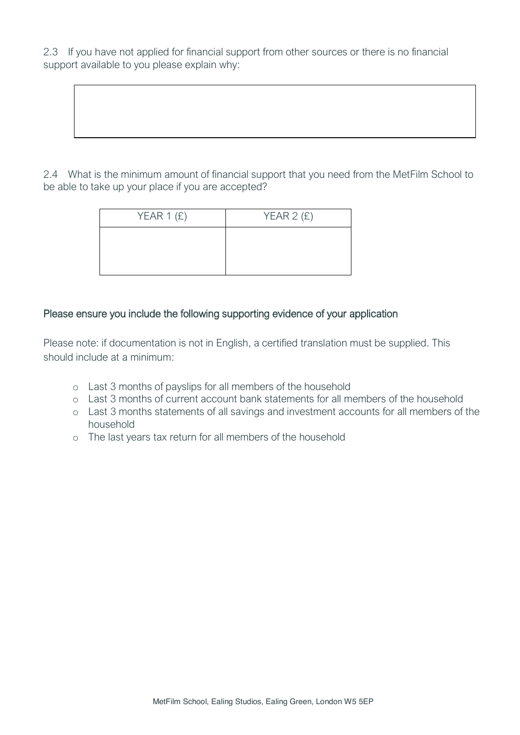2.3 If you have not applied for financial support from other sources or there is no financial support available to you please explain why:

2.4 What is the minimum amount of financial support that you need from the MetFilm School to be able to take up your place if you are accepted?

| YEAR $1(E)$ | YEAR $2(f)$ |
|-------------|-------------|
|             |             |
|             |             |
|             |             |

## Please ensure you include the following supporting evidence of your application

Please note: if documentation is not in English, a certified translation must be supplied. This should include at a minimum:

- o Last 3 months of payslips for all members of the household
- o Last 3 months of current account bank statements for all members of the household
- o Last 3 months statements of all savings and investment accounts for all members of the household
- o The last years tax return for all members of the household